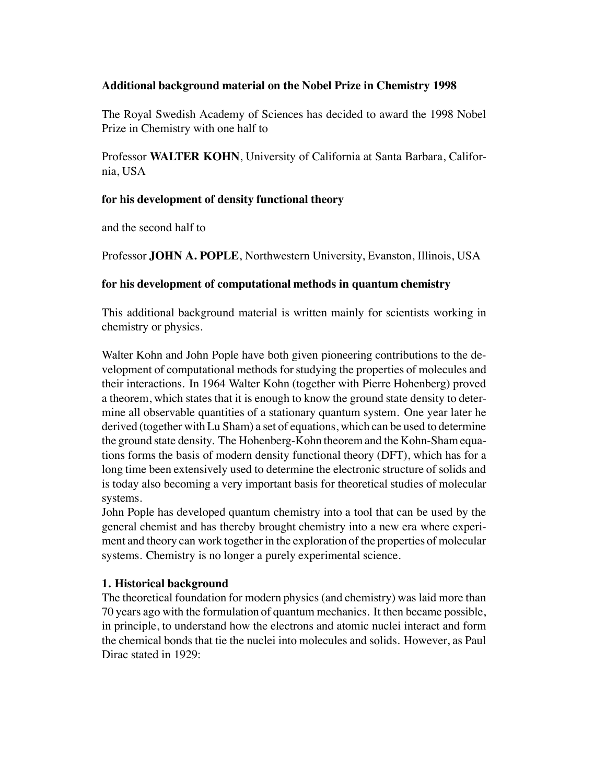### **Additional background material on the Nobel Prize in Chemistry 1998**

The Royal Swedish Academy of Sciences has decided to award the 1998 Nobel Prize in Chemistry with one half to

Professor **WALTER KOHN**, University of California at Santa Barbara, California, USA

### **for his development of density functional theory**

and the second half to

Professor **JOHN A. POPLE**, Northwestern University, Evanston, Illinois, USA

### **for his development of computational methods in quantum chemistry**

This additional background material is written mainly for scientists working in chemistry or physics.

Walter Kohn and John Pople have both given pioneering contributions to the development of computational methods for studying the properties of molecules and their interactions. In 1964 Walter Kohn (together with Pierre Hohenberg) proved a theorem, which states that it is enough to know the ground state density to determine all observable quantities of a stationary quantum system. One year later he derived (together with Lu Sham) a set of equations, which can be used to determine the ground state density. The Hohenberg-Kohn theorem and the Kohn-Sham equations forms the basis of modern density functional theory (DFT), which has for a long time been extensively used to determine the electronic structure of solids and is today also becoming a very important basis for theoretical studies of molecular systems.

John Pople has developed quantum chemistry into a tool that can be used by the general chemist and has thereby brought chemistry into a new era where experiment and theory can work together in the exploration of the properties of molecular systems. Chemistry is no longer a purely experimental science.

# **1. Historical background**

The theoretical foundation for modern physics (and chemistry) was laid more than 70 years ago with the formulation of quantum mechanics. It then became possible, in principle, to understand how the electrons and atomic nuclei interact and form the chemical bonds that tie the nuclei into molecules and solids. However, as Paul Dirac stated in 1929: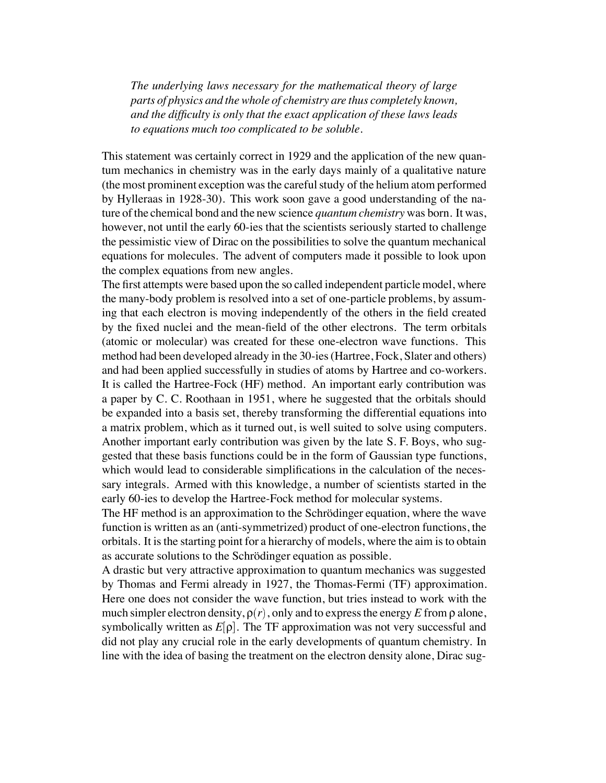*The underlying laws necessary for the mathematical theory of large parts of physics and the whole of chemistry are thus completely known, and the difficulty is only that the exact application of these laws leads to equations much too complicated to be soluble.*

This statement was certainly correct in 1929 and the application of the new quantum mechanics in chemistry was in the early days mainly of a qualitative nature (the most prominent exception was the careful study of the helium atom performed by Hylleraas in 1928-30). This work soon gave a good understanding of the nature of the chemical bond and the new science *quantum chemistry* was born. It was, however, not until the early 60-ies that the scientists seriously started to challenge the pessimistic view of Dirac on the possibilities to solve the quantum mechanical equations for molecules. The advent of computers made it possible to look upon the complex equations from new angles.

The first attempts were based upon the so called independent particle model, where the many-body problem is resolved into a set of one-particle problems, by assuming that each electron is moving independently of the others in the field created by the fixed nuclei and the mean-field of the other electrons. The term orbitals (atomic or molecular) was created for these one-electron wave functions. This method had been developed already in the 30-ies (Hartree, Fock, Slater and others) and had been applied successfully in studies of atoms by Hartree and co-workers. It is called the Hartree-Fock (HF) method. An important early contribution was a paper by C. C. Roothaan in 1951, where he suggested that the orbitals should be expanded into a basis set, thereby transforming the differential equations into a matrix problem, which as it turned out, is well suited to solve using computers. Another important early contribution was given by the late S. F. Boys, who suggested that these basis functions could be in the form of Gaussian type functions, which would lead to considerable simplifications in the calculation of the necessary integrals. Armed with this knowledge, a number of scientists started in the early 60-ies to develop the Hartree-Fock method for molecular systems.

The HF method is an approximation to the Schrödinger equation, where the wave function is written as an (anti-symmetrized) product of one-electron functions, the orbitals. It is the starting point for a hierarchy of models, where the aim is to obtain as accurate solutions to the Schrödinger equation as possible.

A drastic but very attractive approximation to quantum mechanics was suggested by Thomas and Fermi already in 1927, the Thomas-Fermi (TF) approximation. Here one does not consider the wave function, but tries instead to work with the much simpler electron density,  $\rho(r)$ , only and to express the energy *E* from  $\rho$  alone, symbolically written as  $E[\rho]$ . The TF approximation was not very successful and did not play any crucial role in the early developments of quantum chemistry. In line with the idea of basing the treatment on the electron density alone, Dirac sug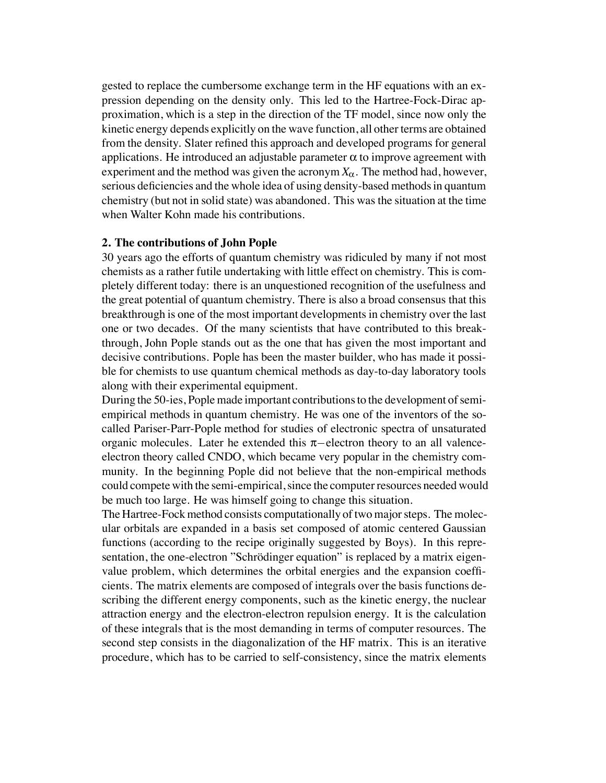gested to replace the cumbersome exchange term in the HF equations with an expression depending on the density only. This led to the Hartree-Fock-Dirac approximation, which is a step in the direction of the TF model, since now only the kinetic energy depends explicitly on the wave function, all other terms are obtained from the density. Slater refined this approach and developed programs for general applications. He introduced an adjustable parameter  $\alpha$  to improve agreement with experiment and the method was given the acronym  $X_\alpha$ . The method had, however, serious deficiencies and the whole idea of using density-based methods in quantum chemistry (but not in solid state) was abandoned. This was the situation at the time when Walter Kohn made his contributions.

#### **2. The contributions of John Pople**

30 years ago the efforts of quantum chemistry was ridiculed by many if not most chemists as a rather futile undertaking with little effect on chemistry. This is completely different today: there is an unquestioned recognition of the usefulness and the great potential of quantum chemistry. There is also a broad consensus that this breakthrough is one of the most important developments in chemistry over the last one or two decades. Of the many scientists that have contributed to this breakthrough, John Pople stands out as the one that has given the most important and decisive contributions. Pople has been the master builder, who has made it possible for chemists to use quantum chemical methods as day-to-day laboratory tools along with their experimental equipment.

During the 50-ies, Pople made important contributions to the development of semiempirical methods in quantum chemistry. He was one of the inventors of the socalled Pariser-Parr-Pople method for studies of electronic spectra of unsaturated organic molecules. Later he extended this  $\pi$ -electron theory to an all valenceelectron theory called CNDO, which became very popular in the chemistry community. In the beginning Pople did not believe that the non-empirical methods could compete with the semi-empirical, since the computer resources needed would be much too large. He was himself going to change this situation.

The Hartree-Fock method consists computationally of two major steps. The molecular orbitals are expanded in a basis set composed of atomic centered Gaussian functions (according to the recipe originally suggested by Boys). In this representation, the one-electron "Schrödinger equation" is replaced by a matrix eigenvalue problem, which determines the orbital energies and the expansion coefficients. The matrix elements are composed of integrals over the basis functions describing the different energy components, such as the kinetic energy, the nuclear attraction energy and the electron-electron repulsion energy. It is the calculation of these integrals that is the most demanding in terms of computer resources. The second step consists in the diagonalization of the HF matrix. This is an iterative procedure, which has to be carried to self-consistency, since the matrix elements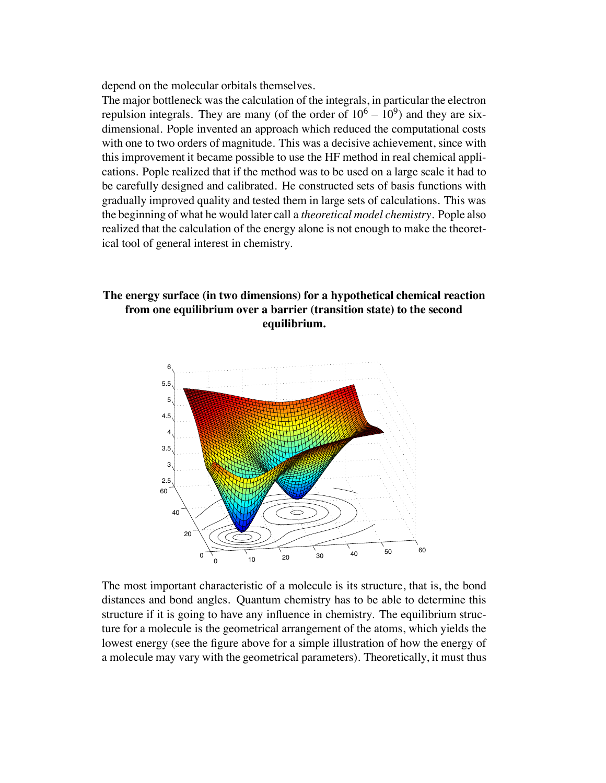depend on the molecular orbitals themselves.

The major bottleneck was the calculation of the integrals, in particular the electron repulsion integrals. They are many (of the order of  $10^6 - 10^9$ ) and they are sixdimensional. Pople invented an approach which reduced the computational costs with one to two orders of magnitude. This was a decisive achievement, since with this improvement it became possible to use the HF method in real chemical applications. Pople realized that if the method was to be used on a large scale it had to be carefully designed and calibrated. He constructed sets of basis functions with gradually improved quality and tested them in large sets of calculations. This was the beginning of what he would later call a *theoretical model chemistry*. Pople also realized that the calculation of the energy alone is not enough to make the theoretical tool of general interest in chemistry.

# **The energy surface (in two dimensions) for a hypothetical chemical reaction from one equilibrium over a barrier (transition state) to the second equilibrium.**



The most important characteristic of a molecule is its structure, that is, the bond distances and bond angles. Quantum chemistry has to be able to determine this structure if it is going to have any influence in chemistry. The equilibrium structure for a molecule is the geometrical arrangement of the atoms, which yields the lowest energy (see the figure above for a simple illustration of how the energy of a molecule may vary with the geometrical parameters). Theoretically, it must thus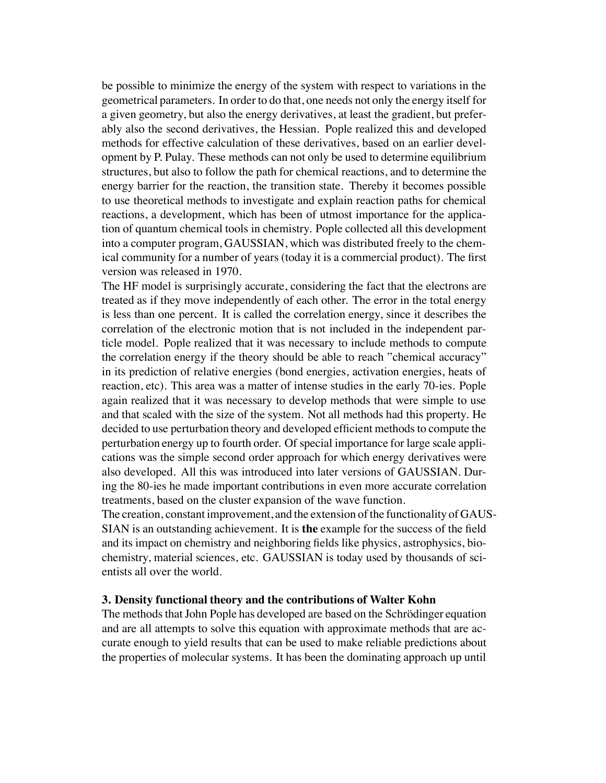be possible to minimize the energy of the system with respect to variations in the geometrical parameters. In order to do that, one needs not only the energy itself for a given geometry, but also the energy derivatives, at least the gradient, but preferably also the second derivatives, the Hessian. Pople realized this and developed methods for effective calculation of these derivatives, based on an earlier development by P. Pulay. These methods can not only be used to determine equilibrium structures, but also to follow the path for chemical reactions, and to determine the energy barrier for the reaction, the transition state. Thereby it becomes possible to use theoretical methods to investigate and explain reaction paths for chemical reactions, a development, which has been of utmost importance for the application of quantum chemical tools in chemistry. Pople collected all this development into a computer program, GAUSSIAN, which was distributed freely to the chemical community for a number of years (today it is a commercial product). The first version was released in 1970.

The HF model is surprisingly accurate, considering the fact that the electrons are treated as if they move independently of each other. The error in the total energy is less than one percent. It is called the correlation energy, since it describes the correlation of the electronic motion that is not included in the independent particle model. Pople realized that it was necessary to include methods to compute the correlation energy if the theory should be able to reach "chemical accuracy" in its prediction of relative energies (bond energies, activation energies, heats of reaction, etc). This area was a matter of intense studies in the early 70-ies. Pople again realized that it was necessary to develop methods that were simple to use and that scaled with the size of the system. Not all methods had this property. He decided to use perturbation theory and developed efficient methods to compute the perturbation energy up to fourth order. Of special importance for large scale applications was the simple second order approach for which energy derivatives were also developed. All this was introduced into later versions of GAUSSIAN. During the 80-ies he made important contributions in even more accurate correlation treatments, based on the cluster expansion of the wave function.

The creation, constant improvement, and the extension of the functionality of GAUS-SIAN is an outstanding achievement. It is **the** example for the success of the field and its impact on chemistry and neighboring fields like physics, astrophysics, biochemistry, material sciences, etc. GAUSSIAN is today used by thousands of scientists all over the world.

#### **3. Density functional theory and the contributions of Walter Kohn**

The methods that John Pople has developed are based on the Schrödinger equation and are all attempts to solve this equation with approximate methods that are accurate enough to yield results that can be used to make reliable predictions about the properties of molecular systems. It has been the dominating approach up until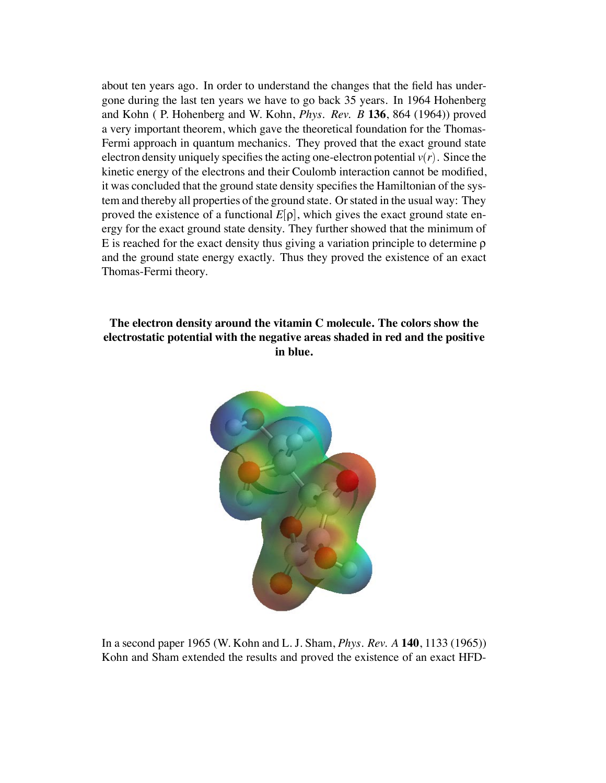about ten years ago. In order to understand the changes that the field has undergone during the last ten years we have to go back 35 years. In 1964 Hohenberg and Kohn ( P. Hohenberg and W. Kohn, *Phys. Rev. B* **136**, 864 (1964)) proved a very important theorem, which gave the theoretical foundation for the Thomas-Fermi approach in quantum mechanics. They proved that the exact ground state electron density uniquely specifies the acting one-electron potential  $v(r)$ . Since the kinetic energy of the electrons and their Coulomb interaction cannot be modified, it was concluded that the ground state density specifies the Hamiltonian of the system and thereby all properties of the ground state. Or stated in the usual way: They proved the existence of a functional  $E[\rho]$ , which gives the exact ground state energy for the exact ground state density. They further showed that the minimum of E is reached for the exact density thus giving a variation principle to determine ρ and the ground state energy exactly. Thus they proved the existence of an exact Thomas-Fermi theory.

# **The electron density around the vitamin C molecule. The colors show the electrostatic potential with the negative areas shaded in red and the positive in blue.**



In a second paper 1965 (W. Kohn and L. J. Sham, *Phys. Rev. A* **140**, 1133 (1965)) Kohn and Sham extended the results and proved the existence of an exact HFD-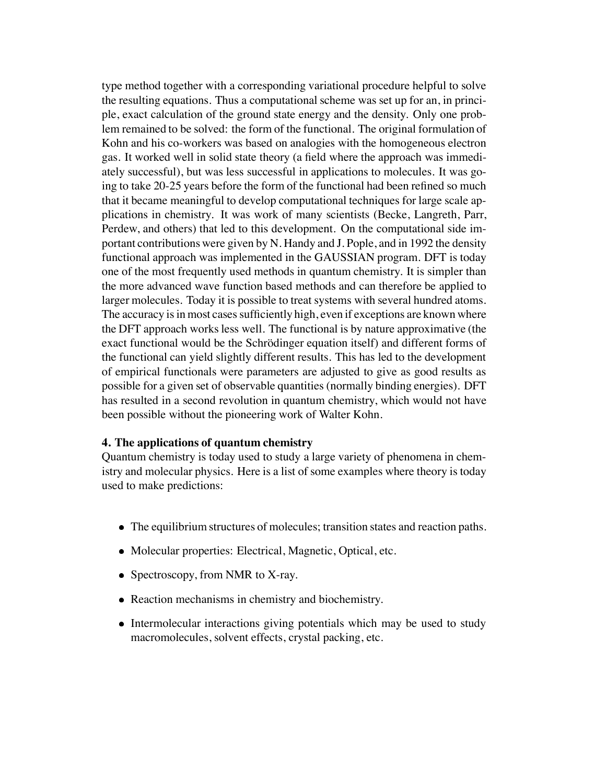type method together with a corresponding variational procedure helpful to solve the resulting equations. Thus a computational scheme was set up for an, in principle, exact calculation of the ground state energy and the density. Only one problem remained to be solved: the form of the functional. The original formulation of Kohn and his co-workers was based on analogies with the homogeneous electron gas. It worked well in solid state theory (a field where the approach was immediately successful), but was less successful in applications to molecules. It was going to take 20-25 years before the form of the functional had been refined so much that it became meaningful to develop computational techniques for large scale applications in chemistry. It was work of many scientists (Becke, Langreth, Parr, Perdew, and others) that led to this development. On the computational side important contributions were given by N. Handy and J. Pople, and in 1992 the density functional approach was implemented in the GAUSSIAN program. DFT is today one of the most frequently used methods in quantum chemistry. It is simpler than the more advanced wave function based methods and can therefore be applied to larger molecules. Today it is possible to treat systems with several hundred atoms. The accuracy is in most cases sufficiently high, even if exceptions are known where the DFT approach works less well. The functional is by nature approximative (the exact functional would be the Schrödinger equation itself) and different forms of the functional can yield slightly different results. This has led to the development of empirical functionals were parameters are adjusted to give as good results as possible for a given set of observable quantities (normally binding energies). DFT has resulted in a second revolution in quantum chemistry, which would not have been possible without the pioneering work of Walter Kohn.

#### **4. The applications of quantum chemistry**

Quantum chemistry is today used to study a large variety of phenomena in chemistry and molecular physics. Here is a list of some examples where theory is today used to make predictions:

- The equilibrium structures of molecules; transition states and reaction paths.
- Molecular properties: Electrical, Magnetic, Optical, etc.
- Spectroscopy, from NMR to X-ray.
- Reaction mechanisms in chemistry and biochemistry.
- Intermolecular interactions giving potentials which may be used to study macromolecules, solvent effects, crystal packing, etc.